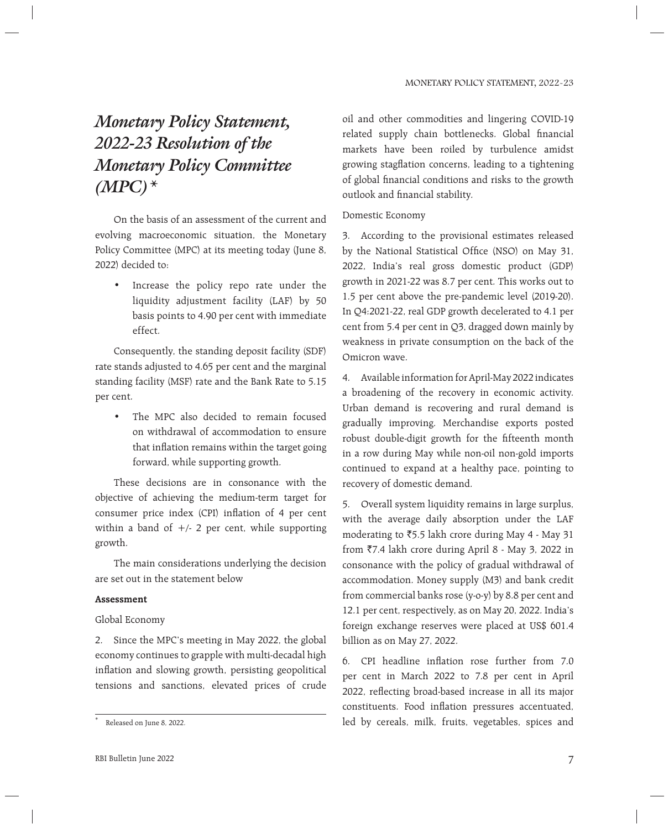# *Monetary Policy Statement, 2022-23 Resolution of the Monetary Policy Committee (MPC)\**

 On the basis of an assessment of the current and evolving macroeconomic situation, the Monetary Policy Committee (MPC) at its meeting today (June 8, 2022) decided to:

• Increase the policy repo rate under the liquidity adjustment facility (LAF) by 50 basis points to 4.90 per cent with immediate effect.

 Consequently, the standing deposit facility (SDF) rate stands adjusted to 4.65 per cent and the marginal standing facility (MSF) rate and the Bank Rate to 5.15 per cent.

• The MPC also decided to remain focused on withdrawal of accommodation to ensure that inflation remains within the target going forward, while supporting growth.

 These decisions are in consonance with the objective of achieving the medium-term target for consumer price index (CPI) inflation of 4 per cent within a band of  $+/- 2$  per cent, while supporting growth.

 The main considerations underlying the decision are set out in the statement below

### **Assessment**

### Global Economy

2. Since the MPC's meeting in May 2022, the global economy continues to grapple with multi-decadal high inflation and slowing growth, persisting geopolitical tensions and sanctions, elevated prices of crude

oil and other commodities and lingering COVID-19 related supply chain bottlenecks. Global financial markets have been roiled by turbulence amidst growing stagflation concerns, leading to a tightening of global financial conditions and risks to the growth outlook and financial stability.

## Domestic Economy

3. According to the provisional estimates released by the National Statistical Office (NSO) on May 31, 2022, India's real gross domestic product (GDP) growth in 2021-22 was 8.7 per cent. This works out to 1.5 per cent above the pre-pandemic level (2019-20). In Q4:2021-22, real GDP growth decelerated to 4.1 per cent from 5.4 per cent in Q3, dragged down mainly by weakness in private consumption on the back of the Omicron wave.

4. Available information for April-May 2022 indicates a broadening of the recovery in economic activity. Urban demand is recovering and rural demand is gradually improving. Merchandise exports posted robust double-digit growth for the fifteenth month in a row during May while non-oil non-gold imports continued to expand at a healthy pace, pointing to recovery of domestic demand.

5. Overall system liquidity remains in large surplus, with the average daily absorption under the LAF moderating to  $\overline{5.5}$  lakh crore during May 4 - May 31 from `7.4 lakh crore during April 8 - May 3, 2022 in consonance with the policy of gradual withdrawal of accommodation. Money supply (M3) and bank credit from commercial banks rose (y-o-y) by 8.8 per cent and 12.1 per cent, respectively, as on May 20, 2022. India's foreign exchange reserves were placed at US\$ 601.4 billion as on May 27, 2022.

6. CPI headline inflation rose further from  $7.0$ per cent in March 2022 to 7.8 per cent in April 2022, reflecting broad-based increase in all its major constituents. Food inflation pressures accentuated, led by cereals, milk, fruits, vegetables, spices and

<sup>\*</sup> Released on June 8, 2022.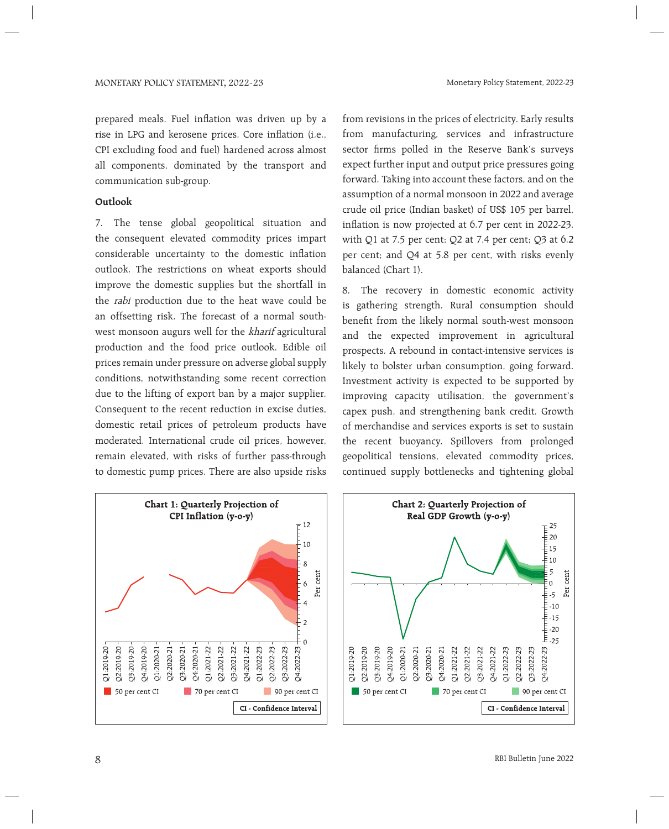prepared meals. Fuel inflation was driven up by a rise in LPG and kerosene prices. Core inflation (i.e., CPI excluding food and fuel) hardened across almost all components, dominated by the transport and communication sub-group.

### **Outlook**

7. The tense global geopolitical situation and the consequent elevated commodity prices impart considerable uncertainty to the domestic inflation outlook. The restrictions on wheat exports should improve the domestic supplies but the shortfall in the rabi production due to the heat wave could be an offsetting risk. The forecast of a normal southwest monsoon augurs well for the kharif agricultural production and the food price outlook. Edible oil prices remain under pressure on adverse global supply conditions, notwithstanding some recent correction due to the lifting of export ban by a major supplier. Consequent to the recent reduction in excise duties, domestic retail prices of petroleum products have moderated. International crude oil prices, however, remain elevated, with risks of further pass-through to domestic pump prices. There are also upside risks

from revisions in the prices of electricity. Early results from manufacturing, services and infrastructure sector firms polled in the Reserve Bank's surveys expect further input and output price pressures going forward. Taking into account these factors, and on the assumption of a normal monsoon in 2022 and average crude oil price (Indian basket) of US\$ 105 per barrel, inflation is now projected at 6.7 per cent in 2022-23, with Q1 at 7.5 per cent; Q2 at 7.4 per cent; Q3 at 6.2 per cent; and Q4 at 5.8 per cent, with risks evenly balanced (Chart 1).

8. The recovery in domestic economic activity is gathering strength. Rural consumption should benefit from the likely normal south-west monsoon and the expected improvement in agricultural prospects. A rebound in contact-intensive services is likely to bolster urban consumption, going forward. Investment activity is expected to be supported by improving capacity utilisation, the government's capex push, and strengthening bank credit. Growth of merchandise and services exports is set to sustain the recent buoyancy. Spillovers from prolonged geopolitical tensions, elevated commodity prices, continued supply bottlenecks and tightening global